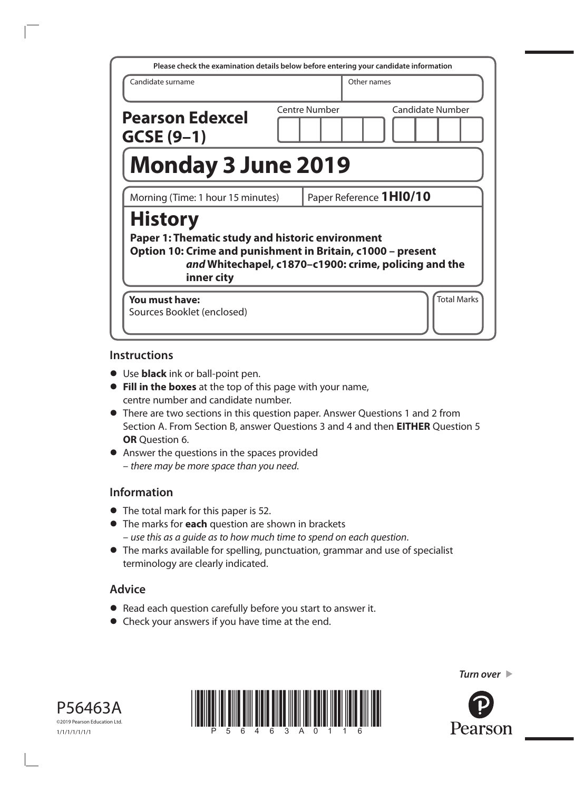| Please check the examination details below before entering your candidate information                                                                                                         |                         |                      |             |                         |  |  |
|-----------------------------------------------------------------------------------------------------------------------------------------------------------------------------------------------|-------------------------|----------------------|-------------|-------------------------|--|--|
| Candidate surname                                                                                                                                                                             |                         |                      | Other names |                         |  |  |
| <b>Pearson Edexcel</b><br>$GCSE(9-1)$                                                                                                                                                         |                         | <b>Centre Number</b> |             | <b>Candidate Number</b> |  |  |
| <b>Monday 3 June 2019</b>                                                                                                                                                                     |                         |                      |             |                         |  |  |
| Morning (Time: 1 hour 15 minutes)                                                                                                                                                             | Paper Reference 1H10/10 |                      |             |                         |  |  |
| <b>History</b>                                                                                                                                                                                |                         |                      |             |                         |  |  |
| <b>Paper 1: Thematic study and historic environment</b><br>Option 10: Crime and punishment in Britain, c1000 - present<br>and Whitechapel, c1870–c1900: crime, policing and the<br>inner city |                         |                      |             |                         |  |  |
| You must have:<br>Sources Booklet (enclosed)                                                                                                                                                  |                         |                      |             | <b>Total Marks</b>      |  |  |

# **Instructions**

- **•** Use **black** ink or ball-point pen.
- **• Fill in the boxes** at the top of this page with your name, centre number and candidate number.
- **•** There are two sections in this question paper. Answer Questions 1 and 2 from Section A. From Section B, answer Questions 3 and 4 and then **EITHER** Question 5 **OR** Question 6.
- **•** Answer the questions in the spaces provided – *there may be more space than you need*.

# **Information**

- **•** The total mark for this paper is 52.
- **•** The marks for **each** question are shown in brackets – *use this as a guide as to how much time to spend on each question*.
- **•** The marks available for spelling, punctuation, grammar and use of specialist terminology are clearly indicated.

# **Advice**

- **•** Read each question carefully before you start to answer it.
- **•** Check your answers if you have time at the end.





*Turn over* 

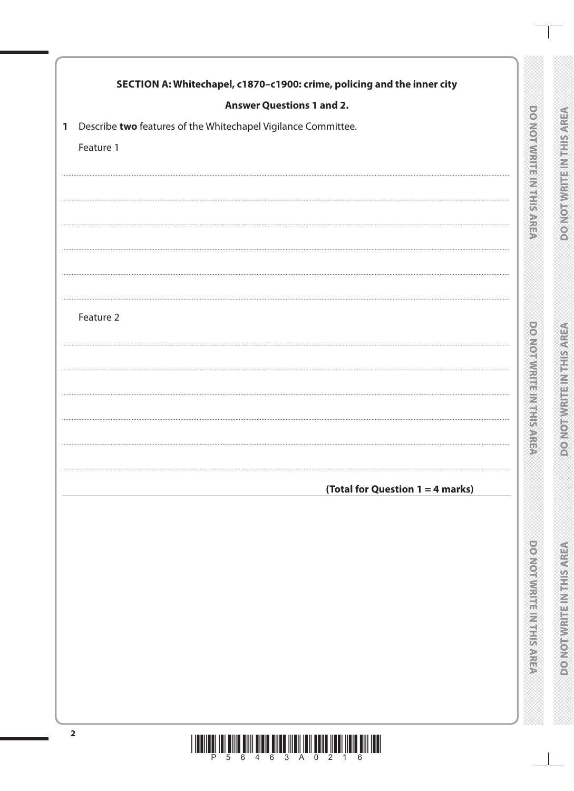|           | <b>Answer Questions 1 and 2.</b>                              | 8                             |
|-----------|---------------------------------------------------------------|-------------------------------|
|           | Describe two features of the Whitechapel Vigilance Committee. |                               |
| Feature 1 |                                                               |                               |
|           |                                                               |                               |
|           |                                                               |                               |
|           |                                                               | <b>Months Herman Schedule</b> |
|           |                                                               |                               |
|           |                                                               |                               |
|           |                                                               |                               |
| Feature 2 |                                                               |                               |
|           |                                                               |                               |
|           |                                                               |                               |
|           |                                                               |                               |
|           |                                                               |                               |
|           |                                                               | <b>DOMORATION SERVICES</b>    |
|           |                                                               |                               |
|           |                                                               |                               |
|           | (Total for Question 1 = 4 marks)                              |                               |
|           |                                                               |                               |
|           |                                                               |                               |
|           |                                                               |                               |
|           |                                                               |                               |
|           |                                                               |                               |
|           |                                                               |                               |
|           |                                                               | <b>DOMOTOWRED NETSTARTER</b>  |
|           |                                                               |                               |
|           |                                                               |                               |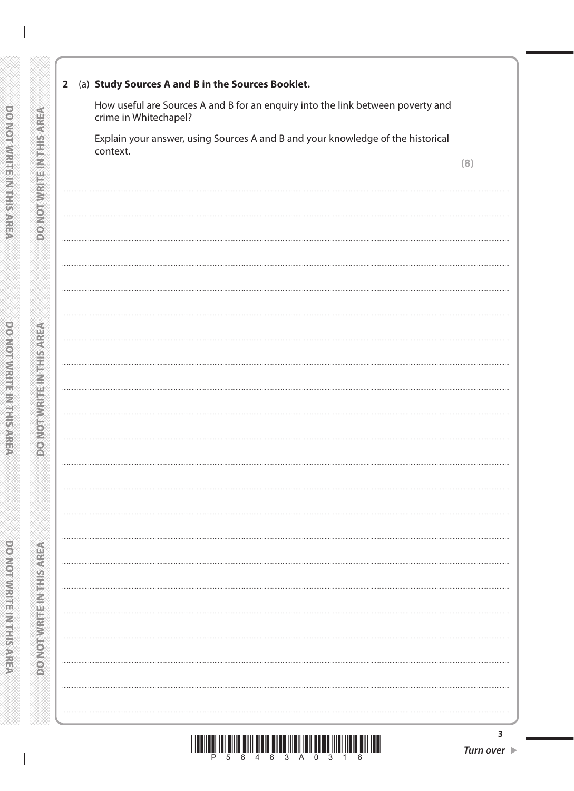|  |  |  | 2 (a) Study Sources A and B in the Sources Booklet. |  |  |  |  |
|--|--|--|-----------------------------------------------------|--|--|--|--|
|--|--|--|-----------------------------------------------------|--|--|--|--|

How useful are Sources A and B for an enquiry into the link between poverty and crime in Whitechapel?

Explain your answer, using Sources A and B and your knowledge of the historical context.

 $(8)$ 

**DOMOTWRITEIN THIS AREA** 

**DO NOTWRITEINITE SARE**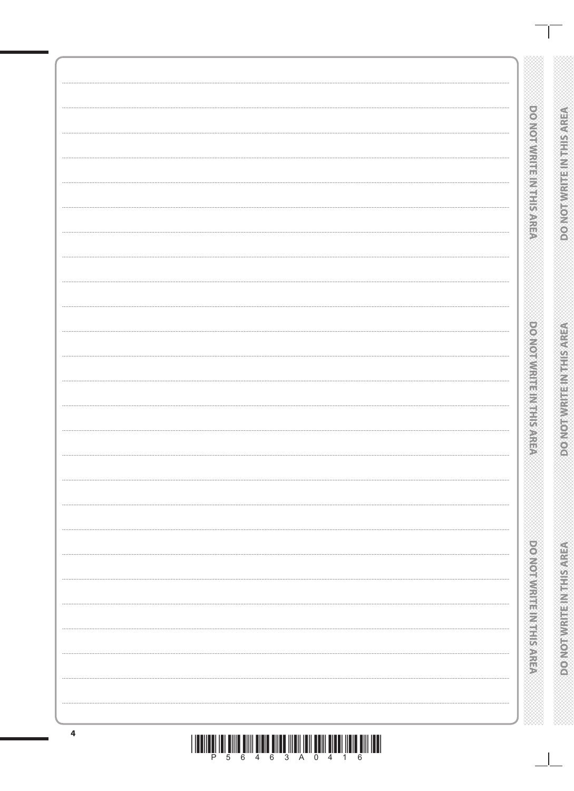|  |  | -3 |  |  |  |
|--|--|----|--|--|--|

| <b>PONOINTERNER PRESS</b>      |
|--------------------------------|
|                                |
|                                |
|                                |
|                                |
|                                |
|                                |
|                                |
|                                |
|                                |
|                                |
|                                |
|                                |
|                                |
|                                |
|                                |
|                                |
|                                |
|                                |
|                                |
|                                |
|                                |
| <b>PONORMER'S PERMIT</b>       |
|                                |
|                                |
|                                |
|                                |
|                                |
|                                |
|                                |
|                                |
|                                |
|                                |
|                                |
|                                |
|                                |
|                                |
|                                |
|                                |
|                                |
|                                |
|                                |
|                                |
|                                |
|                                |
|                                |
|                                |
|                                |
| positional members is a series |
|                                |
|                                |
|                                |
|                                |
|                                |
|                                |
|                                |
|                                |
|                                |
|                                |

Ξ

**DONOTWRITEINTHSAREA** 

**ASSIMISSIMES IN THE VIOLE** 

**DO NOT WRITEIN THIS AREA**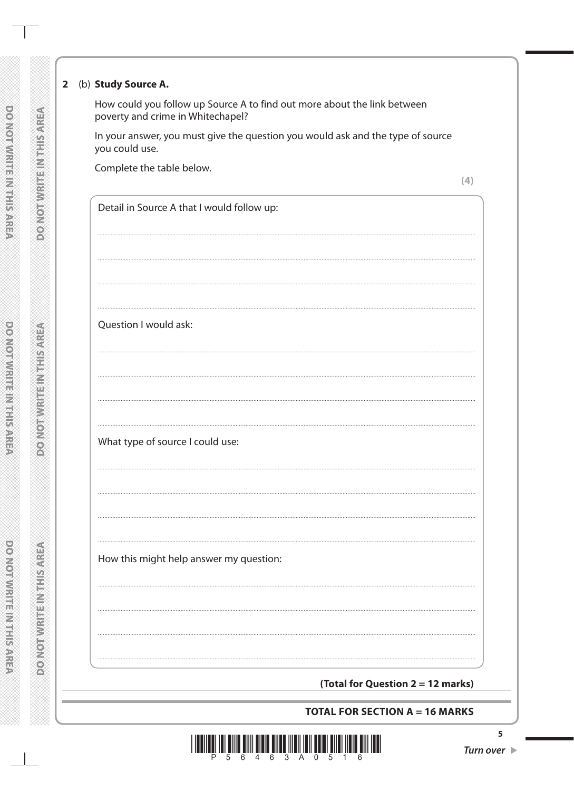# 2 (b) Study Source A.

How could you follow up Source A to find out more about the link between poverty and crime in Whitechapel?

In your answer, you must give the question you would ask and the type of source you could use.

Complete the table below.

|  | н |  |
|--|---|--|
|  | И |  |

| Detail in Source A that I would follow up: |                                       |
|--------------------------------------------|---------------------------------------|
|                                            |                                       |
|                                            |                                       |
|                                            |                                       |
|                                            |                                       |
| Question I would ask:                      |                                       |
|                                            |                                       |
|                                            |                                       |
|                                            |                                       |
|                                            |                                       |
| What type of source I could use:           |                                       |
|                                            |                                       |
|                                            |                                       |
|                                            |                                       |
|                                            |                                       |
| How this might help answer my question:    |                                       |
|                                            |                                       |
|                                            |                                       |
|                                            |                                       |
|                                            |                                       |
|                                            |                                       |
|                                            | (Total for Question 2 = 12 marks)     |
|                                            | <b>TOTAL FOR SECTION A = 16 MARKS</b> |



**DO NOTWRITEINITE SAFE** 

**CERNAL MARKET CONCO** 

**DO NOT WRITE/NATHS/AREA**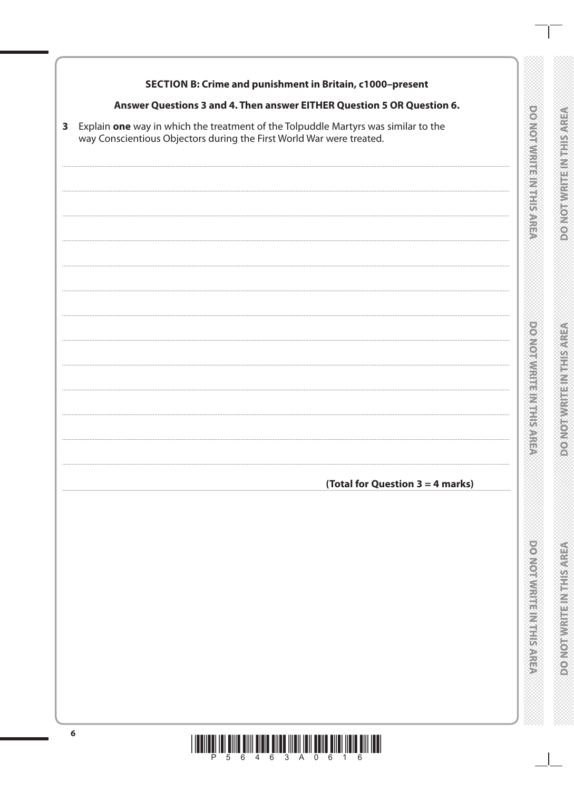| SECTION B: Crime and punishment in Britain, c1000-present<br>Answer Questions 3 and 4. Then answer EITHER Question 5 OR Question 6.<br>Explain one way in which the treatment of the Tolpuddle Martyrs was similar to the<br>$\mathbf{3}$<br>way Conscientious Objectors during the First World War were treated. | <b>PONONNING END AND POSTER</b>   | 医皮肤<br><b>CONTROL</b> |
|-------------------------------------------------------------------------------------------------------------------------------------------------------------------------------------------------------------------------------------------------------------------------------------------------------------------|-----------------------------------|-----------------------|
| (Total for Question 3 = 4 marks)                                                                                                                                                                                                                                                                                  | <b>DOMOROVICES AND ARRESTS</b>    |                       |
|                                                                                                                                                                                                                                                                                                                   | <b>DO WORKING THE MAIN SYSTEM</b> | <b>DONORAN STATE</b>  |

# <u>THENING INI GINN ANN AND GINE AND ANN GINN AND AND AN INI</u>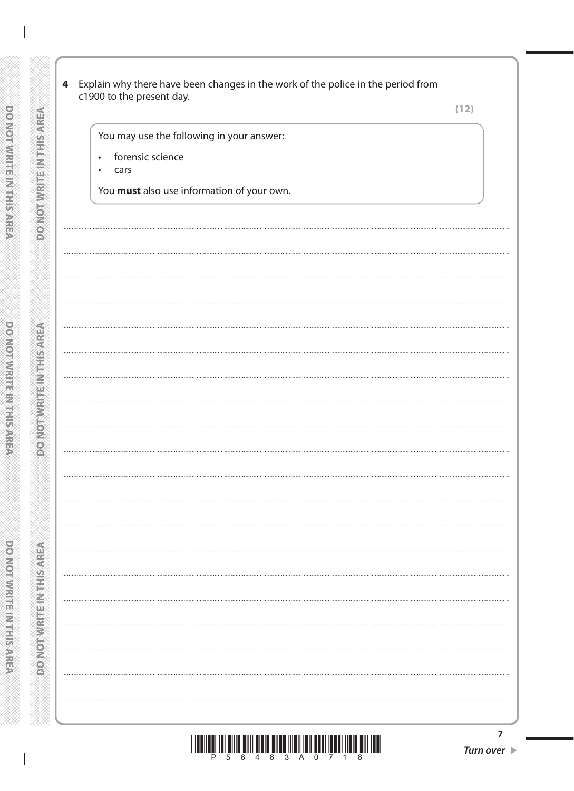|                                                    | $\overline{4}$<br>$6\overline{6}$<br>3<br>$\mathbf 0$<br>7 1 | <b>Turn over</b> |
|----------------------------------------------------|--------------------------------------------------------------|------------------|
|                                                    |                                                              |                  |
|                                                    |                                                              |                  |
|                                                    |                                                              |                  |
|                                                    |                                                              |                  |
|                                                    |                                                              |                  |
|                                                    |                                                              |                  |
|                                                    |                                                              |                  |
|                                                    |                                                              |                  |
|                                                    |                                                              |                  |
|                                                    |                                                              |                  |
|                                                    |                                                              |                  |
|                                                    |                                                              |                  |
|                                                    |                                                              |                  |
|                                                    |                                                              |                  |
|                                                    |                                                              |                  |
|                                                    |                                                              |                  |
|                                                    |                                                              |                  |
|                                                    |                                                              |                  |
| You must also use information of your own.         |                                                              |                  |
| forensic science<br>$\bullet$<br>cars<br>$\bullet$ |                                                              |                  |
| You may use the following in your answer:          |                                                              |                  |
|                                                    |                                                              | (12)             |

 $\mathbb{R}^n$ 

**DONOTWEREINGHISAREA** 

**DONOTWRITEINTHISAREA**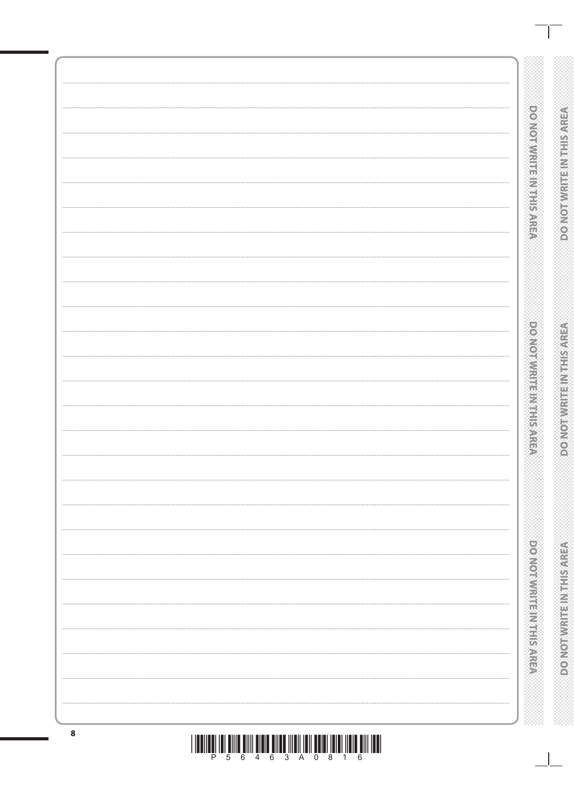| HII IIIII |  |  | <u> Alii Alain amaa maal lah aalah laha mara</u> |  |  |  |
|-----------|--|--|--------------------------------------------------|--|--|--|

| <b>PONCERT PRINCIPLY AND ALCOHOL</b> |
|--------------------------------------|
|                                      |
|                                      |
|                                      |
|                                      |
|                                      |
|                                      |
|                                      |
|                                      |
|                                      |
|                                      |
|                                      |
|                                      |
|                                      |
|                                      |
|                                      |
|                                      |
|                                      |
|                                      |
|                                      |
|                                      |
|                                      |
|                                      |
|                                      |
|                                      |
|                                      |
| <b>PONOYANG REPORTED AND REAL</b>    |
|                                      |
|                                      |
|                                      |
|                                      |
|                                      |
|                                      |
|                                      |
|                                      |
|                                      |
|                                      |
|                                      |
| .                                    |
|                                      |
|                                      |
|                                      |
|                                      |
|                                      |
|                                      |
|                                      |
|                                      |
|                                      |
| <b>DOMORROWN REPORTS ARE</b>         |
|                                      |
|                                      |
|                                      |
|                                      |
|                                      |
|                                      |
|                                      |
|                                      |
|                                      |

Ξ

**DONOT WRITEINTHIS AREA** 

**ASSIMISSIMES IN THE VIOLE** 

**PONOTWRITEIN THIS AREA**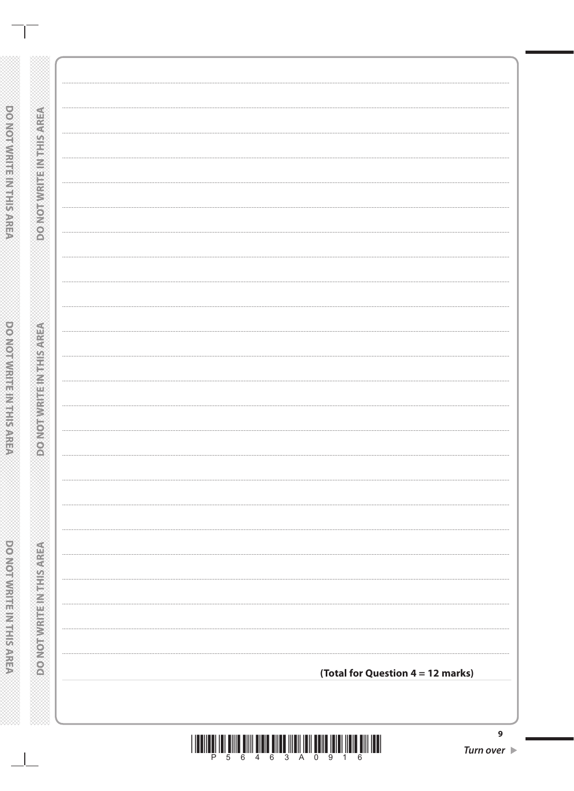|                                 | <b>THE STATES</b>      |                                           |
|---------------------------------|------------------------|-------------------------------------------|
| <b>DOMORATION IS NOT SAFETY</b> | <b>MARINE DIVISION</b> |                                           |
|                                 |                        |                                           |
| <b>PONORMED MELTING</b>         | Õ                      | <br>                                      |
| <b>PONOTWRITEININGSARE</b>      | MELHIMONOVO            | <br><br>(Total for Question 4 = 12 marks) |

 $\overline{\phantom{a}}$ 

 $\Box$ 



 $\overline{9}$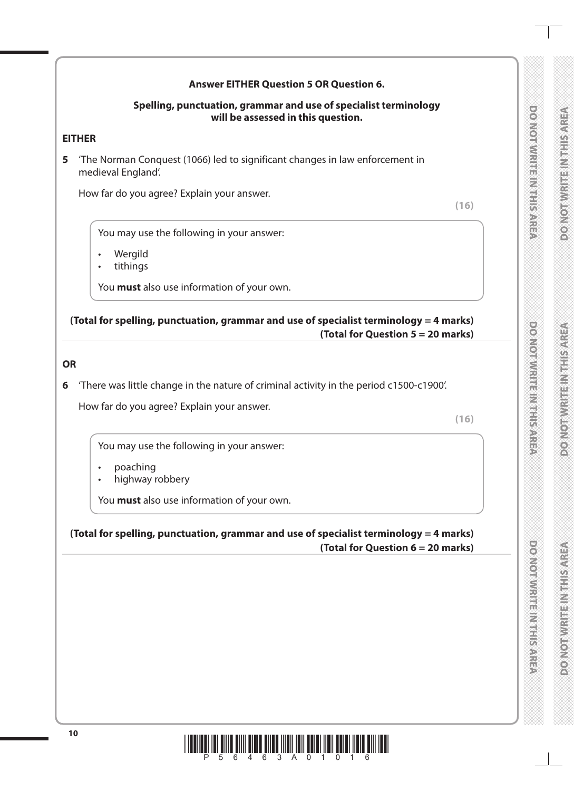# **Answer EITHER Question 5 OR Question 6.**

# **Spelling, punctuation, grammar and use of specialist terminology will be assessed in this question.**

# **EITHER**

**5** 'The Norman Conquest (1066) led to significant changes in law enforcement in medieval England'.

How far do you agree? Explain your answer.

**(16)**

**DONOLOGIC INTERNATIONAL PROPERTY** 

**DOMOROWING** 

**DOMORATION** THE RESIDENCE

**RECISSION CONTROLS INTO A RECORD** 

**RESING IF IN THE PIRTUAL ORIGIN** 

You may use the following in your answer:

**Wergild** 

tithings

You **must** also use information of your own.

**(Total for spelling, punctuation, grammar and use of specialist terminology = 4 marks) (Total for Question 5 = 20 marks)**

# **OR**

**6** 'There was little change in the nature of criminal activity in the period c1500-c1900'.

How far do you agree? Explain your answer.

**(16)**

You may use the following in your answer:

- poaching
- highway robbery

You **must** also use information of your own.

**(Total for spelling, punctuation, grammar and use of specialist terminology = 4 marks) (Total for Question 6 = 20 marks)** 

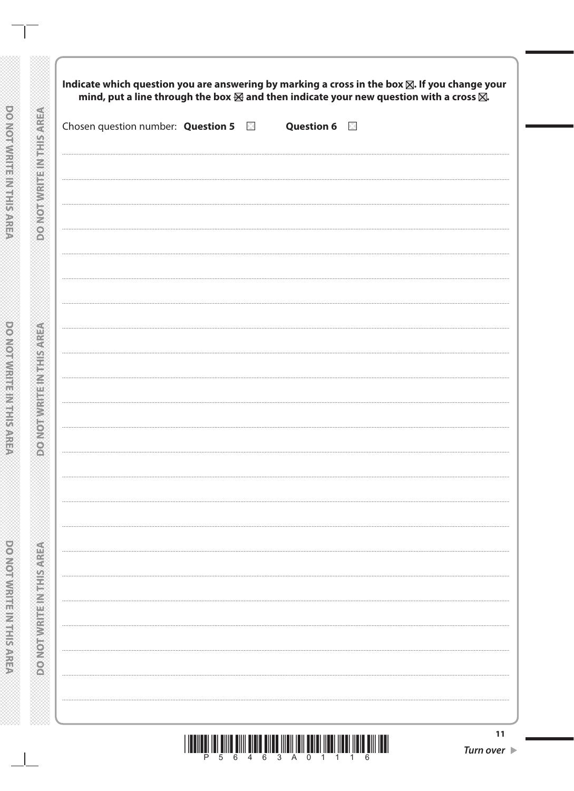|                                                                       | mind, put a line through the box $\boxtimes$ and then indicate your new question with a cross $\boxtimes$ . |  |
|-----------------------------------------------------------------------|-------------------------------------------------------------------------------------------------------------|--|
| Chosen question number: Question 5 $\boxtimes$ Question 6 $\boxtimes$ |                                                                                                             |  |
|                                                                       |                                                                                                             |  |
|                                                                       |                                                                                                             |  |
|                                                                       |                                                                                                             |  |
|                                                                       |                                                                                                             |  |
|                                                                       |                                                                                                             |  |
|                                                                       |                                                                                                             |  |
|                                                                       |                                                                                                             |  |
|                                                                       |                                                                                                             |  |
|                                                                       |                                                                                                             |  |
|                                                                       |                                                                                                             |  |
|                                                                       |                                                                                                             |  |
|                                                                       |                                                                                                             |  |
|                                                                       |                                                                                                             |  |
|                                                                       |                                                                                                             |  |
|                                                                       |                                                                                                             |  |
|                                                                       |                                                                                                             |  |
|                                                                       |                                                                                                             |  |
|                                                                       |                                                                                                             |  |
|                                                                       |                                                                                                             |  |
|                                                                       |                                                                                                             |  |

Turn over  $\blacktriangleright$ 

**DO MOTIVITIE INTERNATION** 

**DO NOTWRITEIN THIS AREA**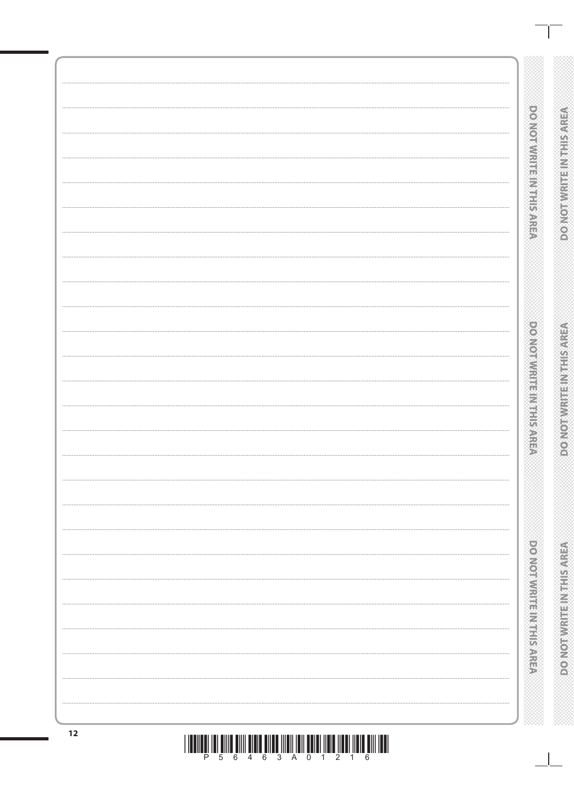|    | .                             |                             |
|----|-------------------------------|-----------------------------|
|    | <b>PONOTAMENTE NEUROLOWER</b> | <b>DONOIAUR RENTER SARE</b> |
|    |                               |                             |
|    |                               |                             |
|    |                               |                             |
|    |                               |                             |
|    |                               |                             |
|    |                               | Õ                           |
|    |                               |                             |
|    |                               | $\frac{5}{1}$               |
|    |                               | Ź                           |
|    | <b>DOMESTIC REPORTS</b>       | <b>MARITANIA</b><br>ĝ       |
|    |                               |                             |
| 12 |                               |                             |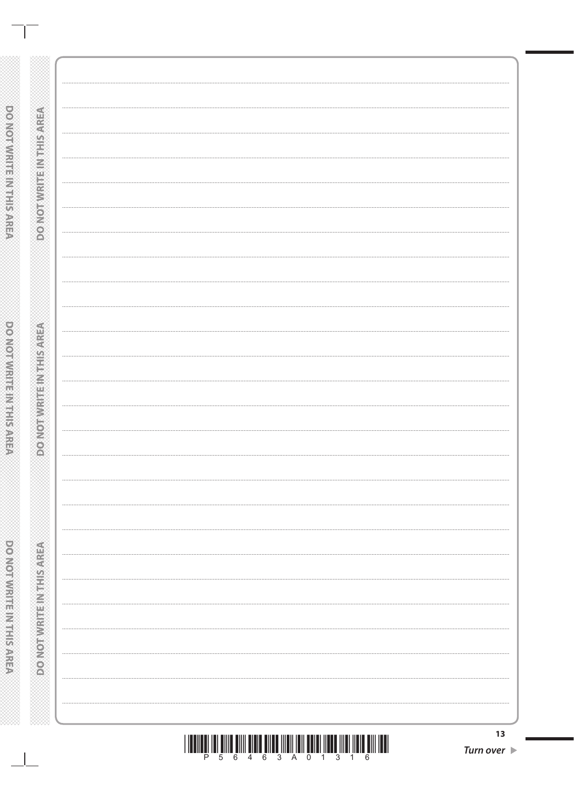a ka

**DOMOTURITIE IN THIS AREA** 

**DOMOTIVE IN THE REFER** 

DOMOTIVITIE IN THIS AREA

 $\Box$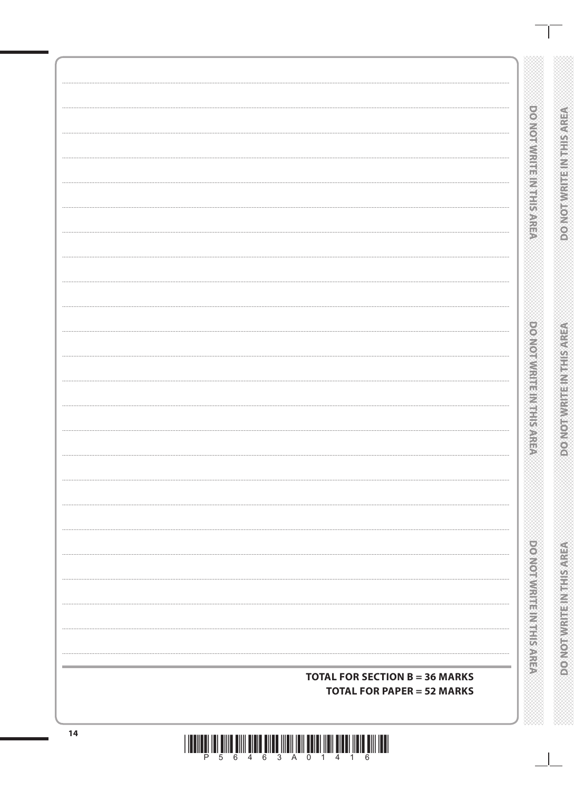| <b>C</b><br>P |
|---------------|
|               |
|               |
|               |
|               |
|               |
|               |
| ý.            |
|               |
|               |
|               |
|               |
|               |
|               |
|               |
|               |
|               |
|               |
|               |
|               |
|               |
|               |
|               |
|               |
|               |
|               |
|               |

# DOMOTWRITE/MENTSAREA

**DONOTWRITEINTHISAREA** 

polyorwanishing with

| <b>TOTAL FOR SECTION B = 36 MARKS</b> |                                   |  |
|---------------------------------------|-----------------------------------|--|
|                                       | <b>TOTAL FOR PAPER = 52 MARKS</b> |  |

L ÂIIII ÂIIII <sup>e</sup>ilii <sup>a</sup>iiiii<sup>1</sup>iiii Âiiii <sup>1</sup>iiii Ăii P.  $\overline{5}$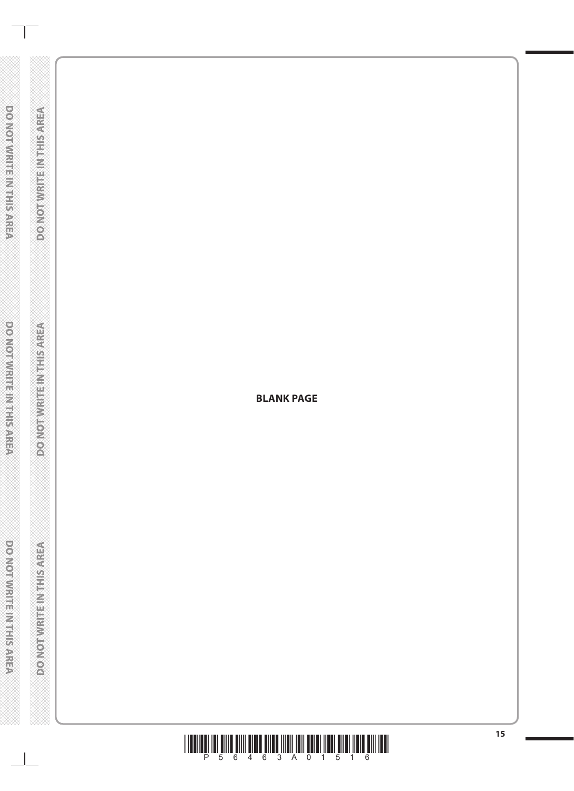$\sim 1$ 

**DO NOTWARE INTHIS AREA** 

**DO NOTAVALE INTERVERS** 

DO NOT WRITE IN THIS AREA

**BLANK PAGE**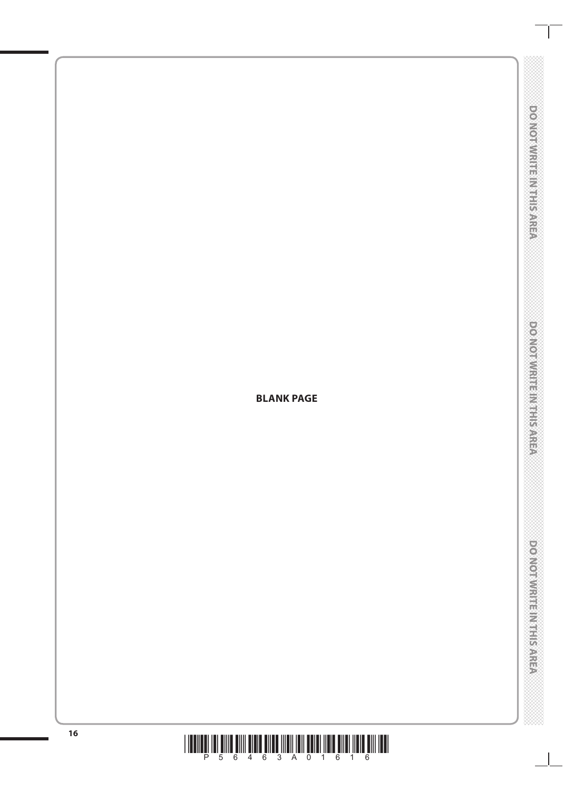# $\begin{array}{c} \vspace{2mm} \begin{array}{c} \vspace{2mm} \begin{array}{c} \vspace{2mm} \end{array} \\ \vspace{2mm} \end{array} \\ \vspace{2mm} \begin{array}{c} \vspace{2mm} \begin{array}{c} \vspace{2mm} \end{array} \\ \vspace{2mm} \end{array} \\ \vspace{2mm} \begin{array}{c} \vspace{2mm} \begin{array}{c} \vspace{2mm} \end{array} \\ \vspace{2mm} \end{array} \\ \vspace{2mm} \begin{array}{c} \vspace{2mm} \begin{array}{c} \vspace{2mm} \end{array} \\ \vspace{2mm} \end{$

DONOTWRITE IN THIS AREA

# **BLANK PAGE**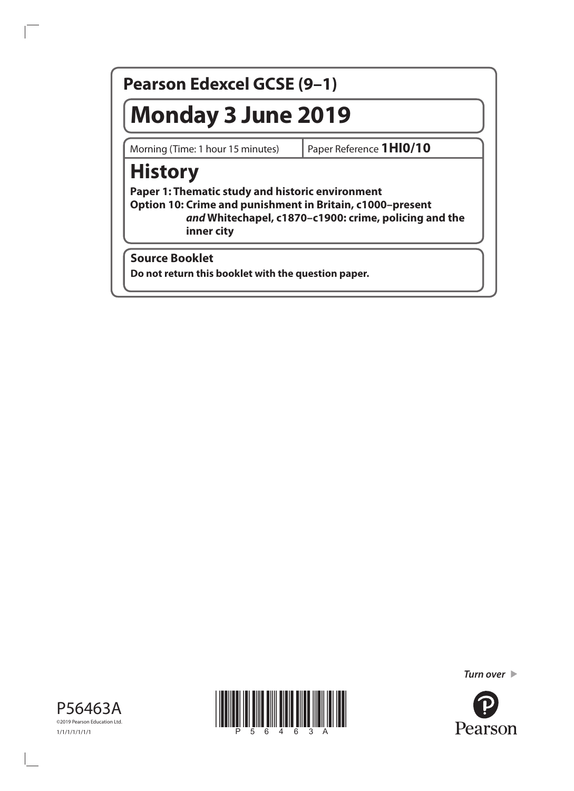# **Pearson Edexcel GCSE (9–1)**

# **Monday 3 June 2019**

Morning (Time: 1 hour 15 minutes) Paper Reference **1HI0/10**

# **History**

**Paper 1: Thematic study and historic environment Option 10: Crime and punishment in Britain, c1000–present**  *and* **Whitechapel, c1870–c1900: crime, policing and the inner city**

**Source Booklet**

**Do not return this booklet with the question paper.**







*Turn over*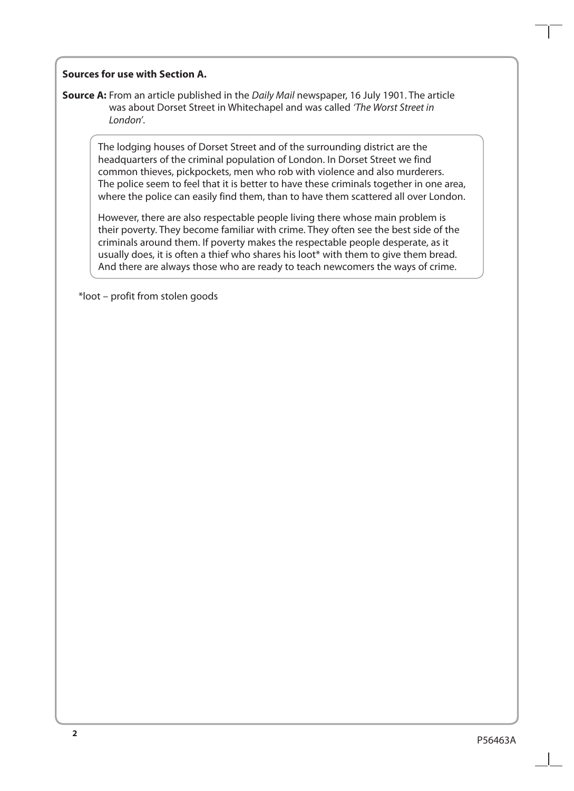## **Sources for use with Section A.**

**Source A:** From an article published in the *Daily Mail* newspaper, 16 July 1901. The article was about Dorset Street in Whitechapel and was called *'The Worst Street in London'*.

The lodging houses of Dorset Street and of the surrounding district are the headquarters of the criminal population of London. In Dorset Street we find common thieves, pickpockets, men who rob with violence and also murderers. The police seem to feel that it is better to have these criminals together in one area, where the police can easily find them, than to have them scattered all over London.

However, there are also respectable people living there whose main problem is their poverty. They become familiar with crime. They often see the best side of the criminals around them. If poverty makes the respectable people desperate, as it usually does, it is often a thief who shares his loot\* with them to give them bread. And there are always those who are ready to teach newcomers the ways of crime.

\*loot – profit from stolen goods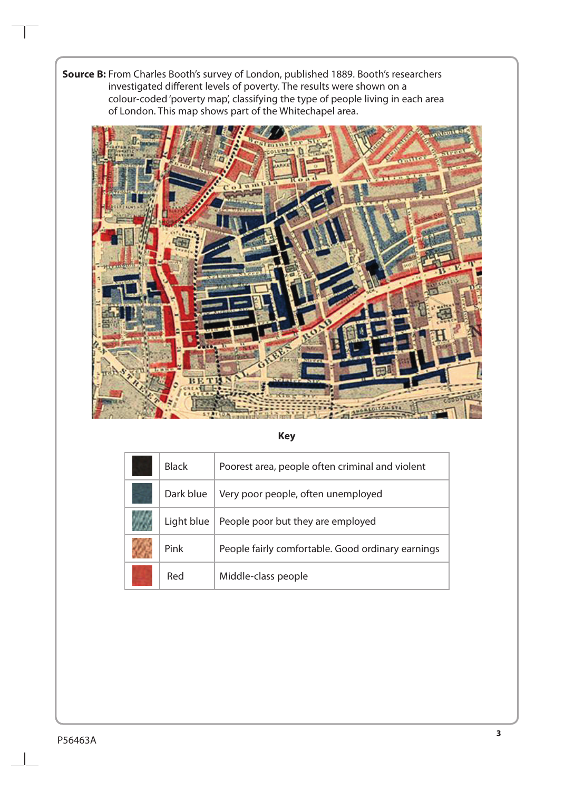**Source B:** From Charles Booth's survey of London, published 1889. Booth's researchers investigated different levels of poverty. The results were shown on a colour-coded 'poverty map', classifying the type of people living in each area of London. This map shows part of the Whitechapel area.



### **Key**

| <b>Black</b> | Poorest area, people often criminal and violent   |
|--------------|---------------------------------------------------|
| Dark blue    | Very poor people, often unemployed                |
| Light blue   | People poor but they are employed                 |
| Pink         | People fairly comfortable. Good ordinary earnings |
| Red          | Middle-class people                               |